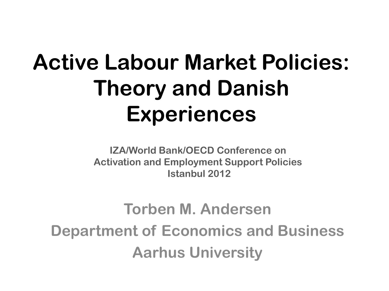## **Active Labour Market Policies: Theory and Danish Experiences**

**IZA/World Bank/OECD Conference on Activation and Employment Support Policies Istanbul 2012**

#### **Torben M. Andersen Department of Economics and Business Aarhus University**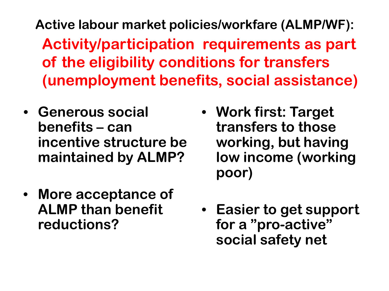**Active labour market policies/workfare (ALMP/WF): Activity/participation requirements as part of the eligibility conditions for transfers (unemployment benefits, social assistance)**

- **Generous social benefits – can incentive structure be maintained by ALMP?**
- **More acceptance of ALMP than benefit reductions?**
- **Work first: Target transfers to those working, but having low income (working poor)**
- **Easier to get support for a "pro-active" social safety net**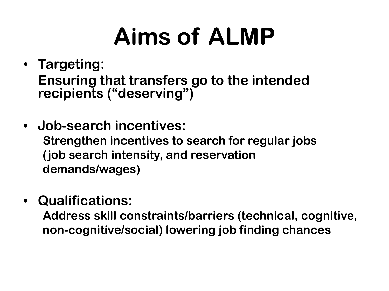# **Aims of ALMP**

- **Targeting: Ensuring that transfers go to the intended recipients ("deserving")**
- **Job-search incentives: Strengthen incentives to search for regular jobs (job search intensity, and reservation demands/wages)**
- **Qualifications:**

**Address skill constraints/barriers (technical, cognitive, non-cognitive/social) lowering job finding chances**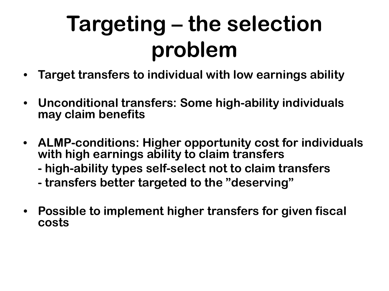# **Targeting – the selection problem**

- **Target transfers to individual with low earnings ability**
- **Unconditional transfers: Some high-ability individuals may claim benefits**
- **ALMP-conditions: Higher opportunity cost for individuals with high earnings ability to claim transfers**
	- **- high-ability types self-select not to claim transfers**
	- **- transfers better targeted to the "deserving"**
- **Possible to implement higher transfers for given fiscal costs**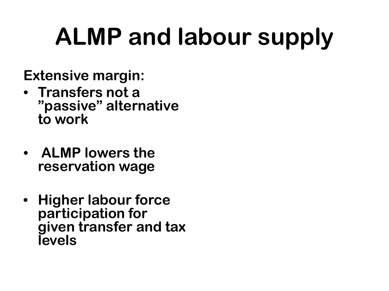# **ALMP and labour supply**

**Extensive margin:**

- **Transfers not a "passive" alternative to work**
- **ALMP lowers the reservation wage**
- **Higher labour force participation for given transfer and tax levels Labour supply**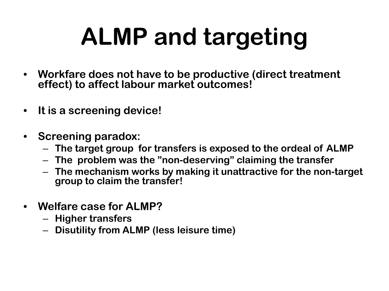# **ALMP and targeting**

- **Workfare does not have to be productive (direct treatment effect) to affect labour market outcomes!**
- **It is a screening device!**
- **Screening paradox:** 
	- **The target group for transfers is exposed to the ordeal of ALMP**
	- **The problem was the "non-deserving" claiming the transfer**
	- **The mechanism works by making it unattractive for the non-target group to claim the transfer!**
- **Welfare case for ALMP?**
	- **Higher transfers**
	- **Disutility from ALMP (less leisure time)**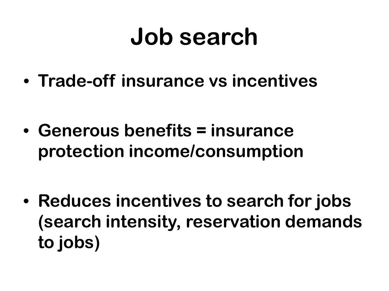# **Job search**

• **Trade-off insurance vs incentives**

• **Generous benefits = insurance protection income/consumption**

• **Reduces incentives to search for jobs (search intensity, reservation demands to jobs)**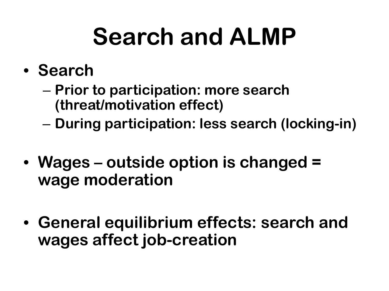# **Search and ALMP**

- **Search**
	- **Prior to participation: more search (threat/motivation effect)**
	- **During participation: less search (locking-in)**
- **Wages – outside option is changed = wage moderation**
- **General equilibrium effects: search and wages affect job-creation**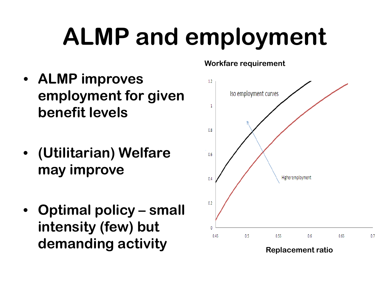# **ALMP and employment**

- **ALMP improves employment for given benefit levels**
- **(Utilitarian) Welfare may improve**
- **Optimal policy – small intensity (few) but demanding activity Replacement ratio**

#### **Workfare requirement**

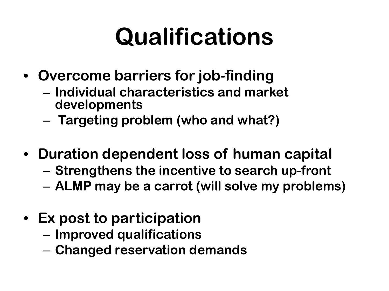# **Qualifications**

- **Overcome barriers for job-finding**
	- **Individual characteristics and market developments**
	- **Targeting problem (who and what?)**
- **Duration dependent loss of human capital**
	- **Strengthens the incentive to search up-front**
	- **ALMP may be a carrot (will solve my problems)**
- **Ex post to participation**
	- **Improved qualifications**
	- **Changed reservation demands**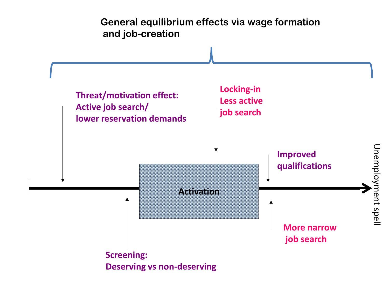**General equilibrium effects via wage formation and job-creation**

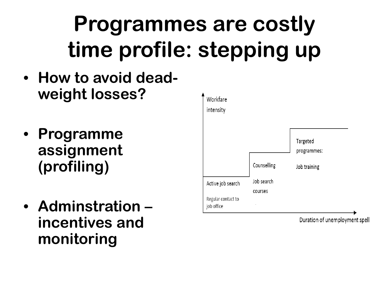# **Programmes are costly time profile: stepping up**

- **How to avoid deadweight losses?**
- **Programme assignment (profiling)**
- **Adminstration – incentives and monitoring**



Duration of unemployment spell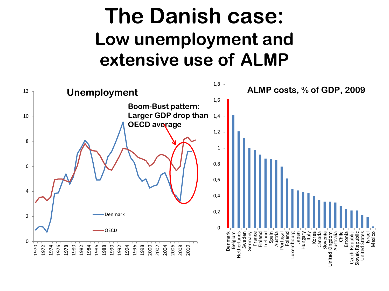### **The Danish case: Low unemployment and extensive use of ALMP**

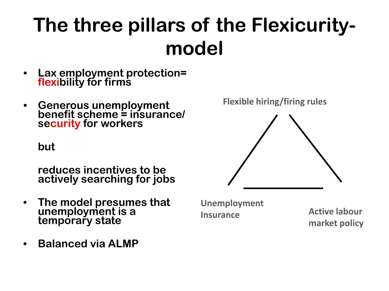## **The three pillars of the Flexicuritymodel**

- **Lax employment protection= flexibility for firms**
- **Generous unemployment benefit scheme = insurance/ security for workers**

**but** 

**reduces incentives to be actively searching for jobs**

- **The model presumes that unemployment is a temporary state**
- **Balanced via ALMP**

**Flexible hiring/firing rules**



**Unemployment Insurance Active labour**

**market policy**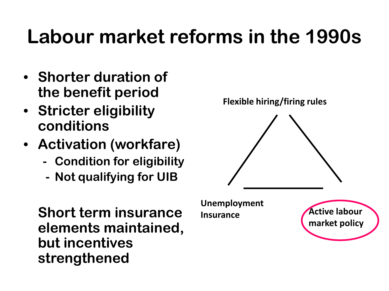## **Labour market reforms in the 1990s**

- **Shorter duration of the benefit period**
- **Stricter eligibility conditions**
- **Activation (workfare)**
	- **- Condition for eligibility**
	- **- Not qualifying for UIB**

**Short term insurance elements maintained, but incentives strengthened**

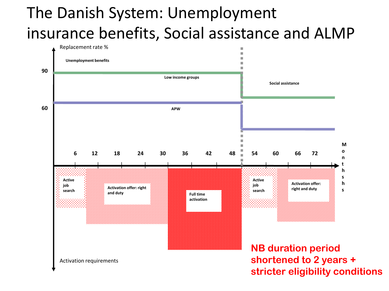#### The Danish System: Unemployment insurance benefits, Social assistance and ALMP

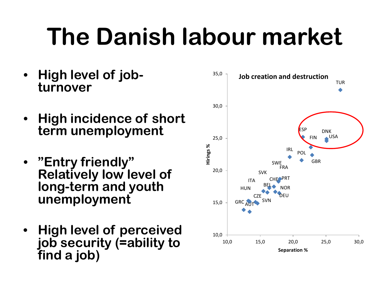# **The Danish labour market**

- **High level of job- turnover**
- **High incidence of short term unemployment**
- **"Entry friendly" Relatively low level of long-term and youth unemployment**
- **High level of perceived job security (=ability to find a job)**

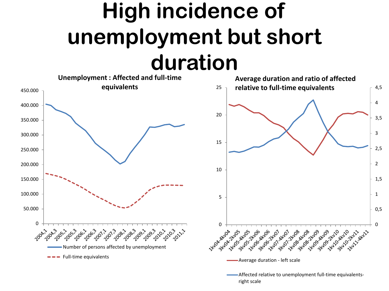## **High incidence of unemployment but short duration**



right scale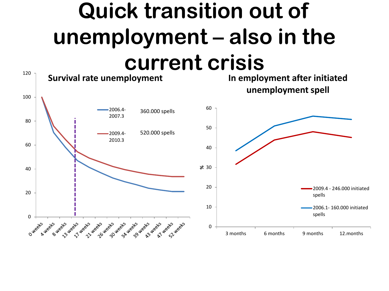## **Quick transition out of unemployment – also in the current crisis**

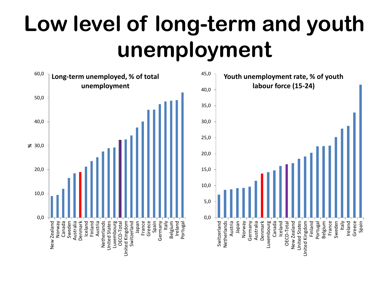## **Low level of long-term and youth unemployment**

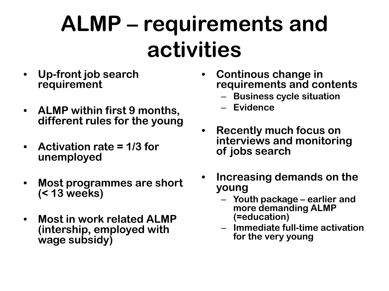## **ALMP – requirements and activities**

- **Up-front job search requirement**
- **ALMP within first 9 months, different rules for the young**
- **Activation rate = 1/3 for unemployed**
- **Most programmes are short (< 13 weeks)**
- **Most in work related ALMP (intership, employed with wage subsidy)**
- **Continous change in requirements and contents**
	- **Business cycle situation**
	- **Evidence**
- **Recently much focus on interviews and monitoring of jobs search**
- **Increasing demands on the young**
	- **Youth package – earlier and more demanding ALMP (=education)**
	- **Immediate full-time activation for the very young**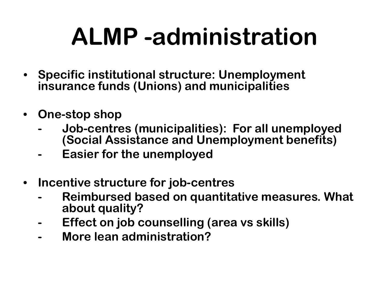# **ALMP -administration**

- **Specific institutional structure: Unemployment insurance funds (Unions) and municipalities**
- **One-stop shop** 
	- **- Job-centres (municipalities): For all unemployed (Social Assistance and Unemployment benefits)**
	- **- Easier for the unemployed**
- **Incentive structure for job-centres** 
	- **- Reimbursed based on quantitative measures. What about quality?**
	- **- Effect on job counselling (area vs skills)**
	- **- More lean administration?**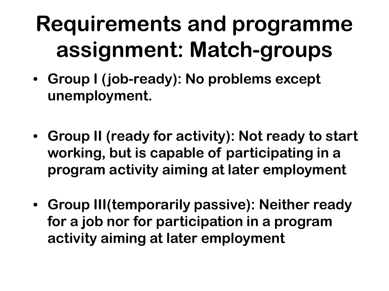# **Requirements and programme assignment: Match-groups**

- **Group I (job-ready): No problems except unemployment.**
- **Group II (ready for activity): Not ready to start working, but is capable of participating in a program activity aiming at later employment**
- **Group III(temporarily passive): Neither ready for a job nor for participation in a program activity aiming at later employment**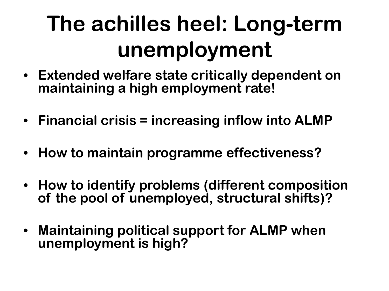# **The achilles heel: Long-term unemployment**

- **Extended welfare state critically dependent on maintaining a high employment rate!**
- **Financial crisis = increasing inflow into ALMP**
- **How to maintain programme effectiveness?**
- **How to identify problems (different composition of the pool of unemployed, structural shifts)?**
- **Maintaining political support for ALMP when unemployment is high?**